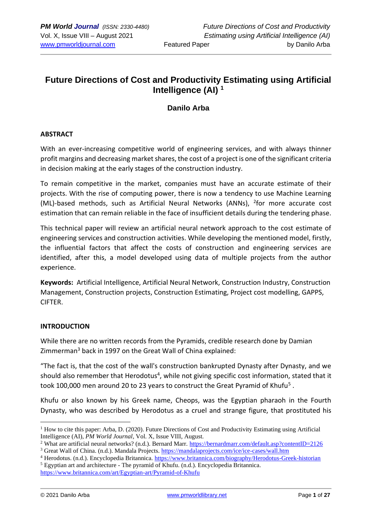# **Future Directions of Cost and Productivity Estimating using Artificial Intelligence (AI) <sup>1</sup>**

## **Danilo Arba**

### **ABSTRACT**

With an ever-increasing competitive world of engineering services, and with always thinner profit margins and decreasing market shares, the cost of a project is one of the significant criteria in decision making at the early stages of the construction industry.

To remain competitive in the market, companies must have an accurate estimate of their projects. With the rise of computing power, there is now a tendency to use Machine Learning (ML)-based methods, such as Artificial Neural Networks (ANNs), <sup>2</sup>for more accurate cost estimation that can remain reliable in the face of insufficient details during the tendering phase.

This technical paper will review an artificial neural network approach to the cost estimate of engineering services and construction activities. While developing the mentioned model, firstly, the influential factors that affect the costs of construction and engineering services are identified, after this, a model developed using data of multiple projects from the author experience.

**Keywords:** Artificial Intelligence, Artificial Neural Network, Construction Industry, Construction Management, Construction projects, Construction Estimating, Project cost modelling, GAPPS, CIFTER.

### **INTRODUCTION**

While there are no written records from the Pyramids, credible research done by Damian Zimmerman<sup>3</sup> back in 1997 on the Great Wall of China explained:

"The fact is, that the cost of the wall's construction bankrupted Dynasty after Dynasty, and we should also remember that Herodotus<sup>4</sup>, while not giving specific cost information, stated that it took 100,000 men around 20 to 23 years to construct the Great Pyramid of Khufu<sup>5</sup>.

Khufu or also known by his Greek name, Cheops, was the Egyptian pharaoh in the Fourth Dynasty, who was described by Herodotus as a cruel and strange figure, that prostituted his

 $1$  How to cite this paper: Arba, D. (2020). Future Directions of Cost and Productivity Estimating using Artificial Intelligence (AI), *PM World Journal*, Vol. X, Issue VIII, August.

<sup>2</sup> What are artificial neural networks? (n.d.). Bernard Marr. [https://bernardmarr.com/default.asp?contentID=2126](about:blank)

<sup>&</sup>lt;sup>3</sup> Great Wall of China. (n.d.). Mandala Projects. [https://mandalaprojects.com/ice/ice-cases/wall.htm](about:blank)

<sup>4</sup> Herodotus. (n.d.). Encyclopedia Britannica.<https://www.britannica.com/biography/Herodotus-Greek-historian>  $<sup>5</sup>$  Egyptian art and architecture - The pyramid of Khufu. (n.d.). Encyclopedia Britannica.</sup>

<https://www.britannica.com/art/Egyptian-art/Pyramid-of-Khufu>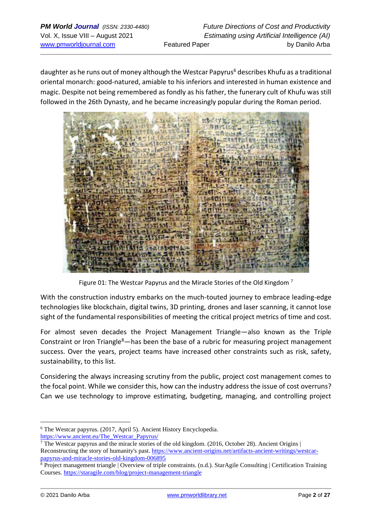daughter as he runs out of money although the Westcar Papyrus<sup>6</sup> describes Khufu as a traditional oriental monarch: good-natured, amiable to his inferiors and interested in human existence and magic. Despite not being remembered as fondly as his father, the funerary cult of Khufu was still followed in the 26th Dynasty, and he became increasingly popular during the Roman period.



Figure 01: The Westcar Papyrus and the Miracle Stories of the Old Kingdom<sup>7</sup>

With the construction industry embarks on the much-touted journey to embrace leading-edge technologies like blockchain, digital twins, 3D printing, drones and laser scanning, it cannot lose sight of the fundamental responsibilities of meeting the critical project metrics of time and cost.

For almost seven decades the Project Management Triangle—also known as the Triple Constraint or Iron Triangle<sup>8</sup>—has been the base of a rubric for measuring project management success. Over the years, project teams have increased other constraints such as risk, safety, sustainability, to this list.

Considering the always increasing scrutiny from the public, project cost management comes to the focal point. While we consider this, how can the industry address the issue of cost overruns? Can we use technology to improve estimating, budgeting, managing, and controlling project

<sup>6</sup> The Westcar papyrus. (2017, April 5). Ancient History Encyclopedia.

[https://www.ancient.eu/The\\_Westcar\\_Papyrus/](about:blank)

<sup>7</sup> The Westcar papyrus and the miracle stories of the old kingdom. (2016, October 28). Ancient Origins | Reconstructing the story of humanity's past. [https://www.ancient-origins.net/artifacts-ancient-writings/westcar](about:blank)[papyrus-and-miracle-stories-old-kingdom-006895](about:blank)

<sup>&</sup>lt;sup>8</sup> Project management triangle | Overview of triple constraints. (n.d.). StarAgile Consulting | Certification Training Courses. [https://staragile.com/blog/project-management-triangle](about:blank)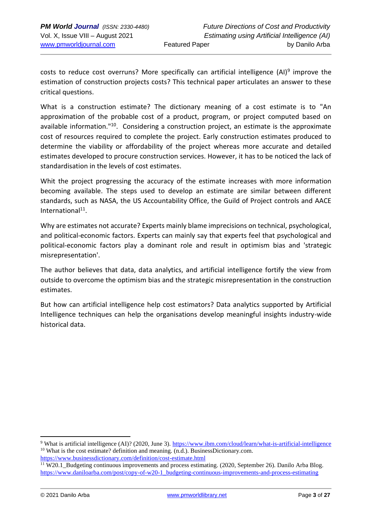costs to reduce cost overruns? More specifically can artificial intelligence (AI)<sup>9</sup> improve the estimation of construction projects costs? This technical paper articulates an answer to these critical questions.

What is a construction estimate? The dictionary meaning of a cost estimate is to "An approximation of the probable cost of a product, program, or project computed based on available information.<sup>"10</sup>. Considering a construction project, an estimate is the approximate cost of resources required to complete the project. Early construction estimates produced to determine the viability or affordability of the project whereas more accurate and detailed estimates developed to procure construction services. However, it has to be noticed the lack of standardisation in the levels of cost estimates.

Whit the project progressing the accuracy of the estimate increases with more information becoming available. The steps used to develop an estimate are similar between different standards, such as NASA, the US Accountability Office, the Guild of Project controls and AACE International<sup>11</sup>.

Why are estimates not accurate? Experts mainly blame imprecisions on technical, psychological, and political-economic factors. Experts can mainly say that experts feel that psychological and political-economic factors play a dominant role and result in optimism bias and 'strategic misrepresentation'.

The author believes that data, data analytics, and artificial intelligence fortify the view from outside to overcome the optimism bias and the strategic misrepresentation in the construction estimates.

But how can artificial intelligence help cost estimators? Data analytics supported by Artificial Intelligence techniques can help the organisations develop meaningful insights industry-wide historical data.

<sup>9</sup> What is artificial intelligence (AI)? (2020, June 3). [https://www.ibm.com/cloud/learn/what-is-artificial-intelligence](about:blank) <sup>10</sup> What is the cost estimate? definition and meaning. (n.d.). BusinessDictionary.com. [https://www.businessdictionary.com/definition/cost-estimate.html](about:blank)

<sup>&</sup>lt;sup>11</sup> W20.1\_Budgeting continuous improvements and process estimating. (2020, September 26). Danilo Arba Blog. [https://www.daniloarba.com/post/copy-of-w20-1\\_budgeting-continuous-improvements-and-process-estimating](about:blank)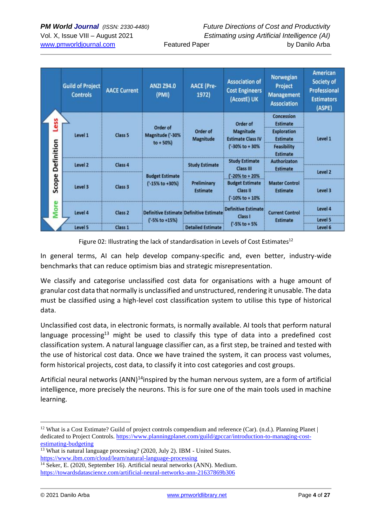| <b>Featured Paper</b> |
|-----------------------|
|-----------------------|

| Less<br>Definition | <b>Guild of Project</b><br><b>Controls</b> | <b>AACE Current</b> | <b>ANZI Z94.0</b><br>(PMI) | <b>AACE (Pre-</b><br>1972)                     | <b>Association of</b><br><b>Cost Engineers</b><br>(AcostE) UK                                               | Norwegian<br>Project<br><b>Management</b><br><b>Association</b> | <b>American</b><br>Society of<br><b>Professional</b><br><b>Estimators</b><br>(ASPE) |
|--------------------|--------------------------------------------|---------------------|----------------------------|------------------------------------------------|-------------------------------------------------------------------------------------------------------------|-----------------------------------------------------------------|-------------------------------------------------------------------------------------|
|                    | Level 1                                    |                     | Order of                   |                                                | Order of                                                                                                    | Concession<br><b>Estimate</b>                                   |                                                                                     |
|                    |                                            | Class 5             | Magnitude ('-30%           | Order of<br>Magnitude                          | <b>Magnitude</b><br><b>Estimate Class IV</b><br>('-30% to +30%<br><b>Study Estimate</b><br><b>Class III</b> | <b>Exploration</b><br><b>Estimate</b>                           | Level 1                                                                             |
|                    |                                            |                     | $to + 50\%)$               |                                                |                                                                                                             | <b>Feasibility</b><br><b>Estimate</b>                           |                                                                                     |
|                    | Level 2                                    | Class 4             |                            | <b>Study Estimate</b>                          |                                                                                                             | <b>Authorizaton</b><br><b>Estimate</b>                          |                                                                                     |
|                    |                                            |                     | <b>Budget Estimate</b>     | Preliminary<br><b>Estimate</b>                 | ('-20% to + 20%                                                                                             |                                                                 | Level 2                                                                             |
| Scope              | Level 3                                    | Class 3             | ('-15% to +30%)            |                                                | <b>Budget Estimate</b><br><b>Class II</b><br>$('-10% to + 10%$                                              | <b>Master Control</b><br><b>Estimate</b>                        | Level 3                                                                             |
| <b>More</b>        | Level 4                                    | Class 2             |                            | <b>Definitive Estimate Definitive Estimate</b> | <b>Definitive Estimate</b><br>Class I                                                                       | <b>Current Control</b><br><b>Estimate</b>                       | Level 4                                                                             |
|                    |                                            |                     | $('-5% to +15%)$           |                                                |                                                                                                             |                                                                 | Level 5                                                                             |
|                    | Level 5                                    | Class 1             |                            | <b>Detailed Estimate</b>                       | $('-5% to + 5%)$                                                                                            |                                                                 | Level 6                                                                             |

Figure 02: Illustrating the lack of standardisation in Levels of Cost Estimates $^{12}$ 

In general terms, AI can help develop company-specific and, even better, industry-wide benchmarks that can reduce optimism bias and strategic misrepresentation.

We classify and categorise unclassified cost data for organisations with a huge amount of granular cost data that normally is unclassified and unstructured, rendering it unusable. The data must be classified using a high-level cost classification system to utilise this type of historical data.

Unclassified cost data, in electronic formats, is normally available. AI tools that perform natural language processing<sup>13</sup> might be used to classify this type of data into a predefined cost classification system. A natural language classifier can, as a first step, be trained and tested with the use of historical cost data. Once we have trained the system, it can process vast volumes, form historical projects, cost data, to classify it into cost categories and cost groups.

Artificial neural networks  $(ANN)^{14}$ inspired by the human nervous system, are a form of artificial intelligence, more precisely the neurons. This is for sure one of the main tools used in machine learning.

<sup>&</sup>lt;sup>12</sup> What is a Cost Estimate? Guild of project controls compendium and reference (Car). (n.d.). Planning Planet | dedicated to Project Controls. [https://www.planningplanet.com/guild/gpccar/introduction-to-managing-cost](about:blank)[estimating-budgeting](about:blank)

<sup>&</sup>lt;sup>13</sup> What is natural language processing? (2020, July 2). IBM - United States. [https://www.ibm.com/cloud/learn/natural-language-processing](about:blank)

<sup>&</sup>lt;sup>14</sup> Seker, E. (2020, September 16). Artificial neural networks (ANN). Medium. [https://towardsdatascience.com/artificial-neural-networks-ann-21637869b306](about:blank)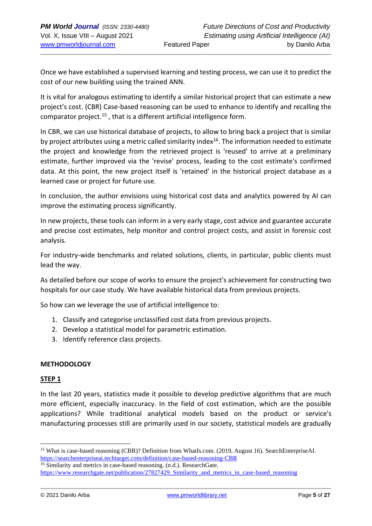Once we have established a supervised learning and testing process, we can use it to predict the cost of our new building using the trained ANN.

It is vital for analogous estimating to identify a similar historical project that can estimate a new project's cost. (CBR) Case-based reasoning can be used to enhance to identify and recalling the comparator project.<sup>15</sup>, that is a different artificial intelligence form.

In CBR, we can use historical database of projects, to allow to bring back a project that is similar by project attributes using a metric called similarity index<sup>16</sup>. The information needed to estimate the project and knowledge from the retrieved project is 'reused' to arrive at a preliminary estimate, further improved via the 'revise' process, leading to the cost estimate's confirmed data. At this point, the new project itself is 'retained' in the historical project database as a learned case or project for future use.

In conclusion, the author envisions using historical cost data and analytics powered by AI can improve the estimating process significantly.

In new projects, these tools can inform in a very early stage, cost advice and guarantee accurate and precise cost estimates, help monitor and control project costs, and assist in forensic cost analysis.

For industry-wide benchmarks and related solutions, clients, in particular, public clients must lead the way.

As detailed before our scope of works to ensure the project's achievement for constructing two hospitals for our case study. We have available historical data from previous projects.

So how can we leverage the use of artificial intelligence to:

- 1. Classify and categorise unclassified cost data from previous projects.
- 2. Develop a statistical model for parametric estimation.
- 3. Identify reference class projects.

### **METHODOLOGY**

### **STEP 1**

In the last 20 years, statistics made it possible to develop predictive algorithms that are much more efficient, especially inaccuracy. In the field of cost estimation, which are the possible applications? While traditional analytical models based on the product or service's manufacturing processes still are primarily used in our society, statistical models are gradually

<sup>&</sup>lt;sup>15</sup> What is case-based reasoning (CBR)? Definition from WhatIs.com. (2019, August 16). SearchEnterpriseAI. [https://searchenterpriseai.techtarget.com/definition/case-based-reasoning-CBR](about:blank)

<sup>&</sup>lt;sup>16</sup> Similarity and metrics in case-based reasoning. (n.d.). ResearchGate. [https://www.researchgate.net/publication/27827429\\_Similarity\\_and\\_metrics\\_in\\_case-based\\_reasoning](about:blank)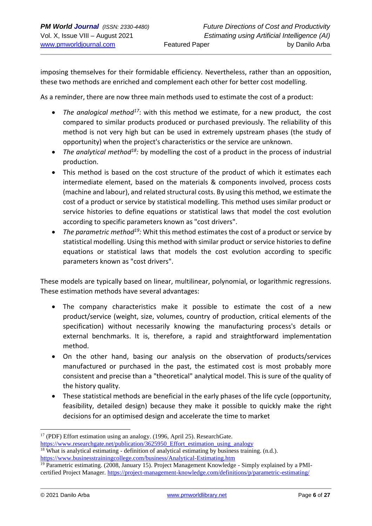imposing themselves for their formidable efficiency. Nevertheless, rather than an opposition, these two methods are enriched and complement each other for better cost modelling.

As a reminder, there are now three main methods used to estimate the cost of a product:

- *The analogical method<sup>17</sup>*: with this method we estimate, for a new product, the cost compared to similar products produced or purchased previously. The reliability of this method is not very high but can be used in extremely upstream phases (the study of opportunity) when the project's characteristics or the service are unknown.
- *The analytical method<sup>18</sup>:* by modelling the cost of a product in the process of industrial production.
- This method is based on the cost structure of the product of which it estimates each intermediate element, based on the materials & components involved, process costs (machine and labour), and related structural costs. By using this method, we estimate the cost of a product or service by statistical modelling. This method uses similar product or service histories to define equations or statistical laws that model the cost evolution according to specific parameters known as "cost drivers".
- *The parametric method<sup>19</sup>:* Whit this method estimates the cost of a product or service by statistical modelling. Using this method with similar product or service histories to define equations or statistical laws that models the cost evolution according to specific parameters known as "cost drivers".

These models are typically based on linear, multilinear, polynomial, or logarithmic regressions. These estimation methods have several advantages:

- The company characteristics make it possible to estimate the cost of a new product/service (weight, size, volumes, country of production, critical elements of the specification) without necessarily knowing the manufacturing process's details or external benchmarks. It is, therefore, a rapid and straightforward implementation method.
- On the other hand, basing our analysis on the observation of products/services manufactured or purchased in the past, the estimated cost is most probably more consistent and precise than a "theoretical" analytical model. This is sure of the quality of the history quality.
- These statistical methods are beneficial in the early phases of the life cycle (opportunity, feasibility, detailed design) because they make it possible to quickly make the right decisions for an optimised design and accelerate the time to market

<sup>17</sup> (PDF) Effort estimation using an analogy. (1996, April 25). ResearchGate. [https://www.researchgate.net/publication/3625950\\_Effort\\_estimation\\_using\\_analogy](about:blank)  $18$  What is analytical estimating - definition of analytical estimating by business training. (n.d.).

[https://www.businesstrainingcollege.com/business/Analytical-Estimating.htm](about:blank)

<sup>&</sup>lt;sup>19</sup> Parametric estimating. (2008, January 15). Project Management Knowledge - Simply explained by a PMIcertified Project Manager. [https://project-management-knowledge.com/definitions/p/parametric-estimating/](about:blank)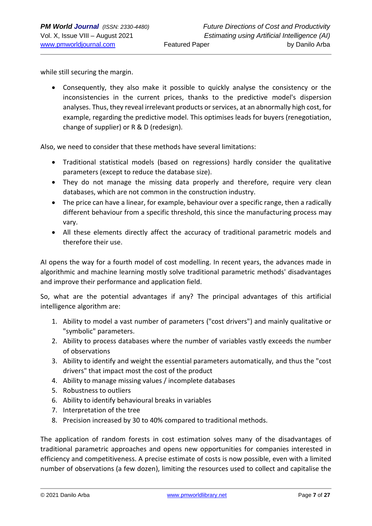while still securing the margin.

• Consequently, they also make it possible to quickly analyse the consistency or the inconsistencies in the current prices, thanks to the predictive model's dispersion analyses. Thus, they reveal irrelevant products or services, at an abnormally high cost, for example, regarding the predictive model. This optimises leads for buyers (renegotiation, change of supplier) or R & D (redesign).

Also, we need to consider that these methods have several limitations:

- Traditional statistical models (based on regressions) hardly consider the qualitative parameters (except to reduce the database size).
- They do not manage the missing data properly and therefore, require very clean databases, which are not common in the construction industry.
- The price can have a linear, for example, behaviour over a specific range, then a radically different behaviour from a specific threshold, this since the manufacturing process may vary.
- All these elements directly affect the accuracy of traditional parametric models and therefore their use.

AI opens the way for a fourth model of cost modelling. In recent years, the advances made in algorithmic and machine learning mostly solve traditional parametric methods' disadvantages and improve their performance and application field.

So, what are the potential advantages if any? The principal advantages of this artificial intelligence algorithm are:

- 1. Ability to model a vast number of parameters ("cost drivers") and mainly qualitative or "symbolic" parameters.
- 2. Ability to process databases where the number of variables vastly exceeds the number of observations
- 3. Ability to identify and weight the essential parameters automatically, and thus the "cost drivers" that impact most the cost of the product
- 4. Ability to manage missing values / incomplete databases
- 5. Robustness to outliers
- 6. Ability to identify behavioural breaks in variables
- 7. Interpretation of the tree
- 8. Precision increased by 30 to 40% compared to traditional methods.

The application of random forests in cost estimation solves many of the disadvantages of traditional parametric approaches and opens new opportunities for companies interested in efficiency and competitiveness. A precise estimate of costs is now possible, even with a limited number of observations (a few dozen), limiting the resources used to collect and capitalise the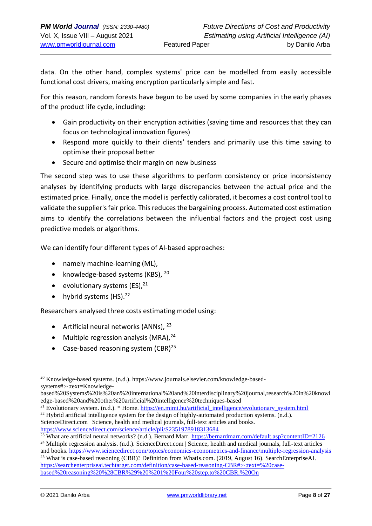data. On the other hand, complex systems' price can be modelled from easily accessible functional cost drivers, making encryption particularly simple and fast.

For this reason, random forests have begun to be used by some companies in the early phases of the product life cycle, including:

- Gain productivity on their encryption activities (saving time and resources that they can focus on technological innovation figures)
- Respond more quickly to their clients' tenders and primarily use this time saving to optimise their proposal better
- Secure and optimise their margin on new business

The second step was to use these algorithms to perform consistency or price inconsistency analyses by identifying products with large discrepancies between the actual price and the estimated price. Finally, once the model is perfectly calibrated, it becomes a cost control tool to validate the supplier's fair price. This reduces the bargaining process. Automated cost estimation aims to identify the correlations between the influential factors and the project cost using predictive models or algorithms.

We can identify four different types of AI-based approaches:

- namely machine-learning (ML),
- knowledge-based systems (KBS),  $20$
- evolutionary systems  $(ES).<sup>21</sup>$
- hybrid systems  $(HS).^{22}$

Researchers analysed three costs estimating model using:

- Artificial neural networks  $(ANNs)$ ,  $^{23}$
- Multiple regression analysis (MRA), $^{24}$
- Case-based reasoning system  $(CBR)^{25}$

<sup>20</sup> Knowledge-based systems. (n.d.). https://www.journals.elsevier.com/knowledge-basedsystems#:~:text=Knowledge-

based%20Systems%20is%20an%20international%20and%20interdisciplinary%20journal,research%20in%20knowl edge-based%20and%20other%20artificial%20intelligence%20techniques-based

<sup>&</sup>lt;sup>21</sup> Evolutionary system. (n.d.). \* Home. [https://en.mimi.hu/artificial\\_intelligence/evolutionary\\_system.html](about:blank)

<sup>&</sup>lt;sup>22</sup> Hybrid artificial intelligence system for the design of highly-automated production systems. (n.d.).

ScienceDirect.com | Science, health and medical journals, full-text articles and books. [https://www.sciencedirect.com/science/article/pii/S2351978918313684](about:blank)

<sup>23</sup> What are artificial neural networks? (n.d.). Bernard Marr. [https://bernardmarr.com/default.asp?contentID=2126](about:blank)

 $^{24}$  Multiple regression analysis. (n.d.). ScienceDirect.com | Science, health and medical journals, full-text articles and books[. https://www.sciencedirect.com/topics/economics-econometrics-and-finance/multiple-regression-analysis](about:blank)

<sup>&</sup>lt;sup>25</sup> What is case-based reasoning (CBR)? Definition from WhatIs.com. (2019, August 16). SearchEnterpriseAI. [https://searchenterpriseai.techtarget.com/definition/case-based-reasoning-CBR#:~:text=%20case](about:blank#:~:text=%20case-based%20reasoning%20%28CBR%29%20%201%20Four%20step,to%20CBR.%20On)[based%20reasoning%20%28CBR%29%20%201%20Four%20step,to%20CBR.%20On](about:blank#:~:text=%20case-based%20reasoning%20%28CBR%29%20%201%20Four%20step,to%20CBR.%20On)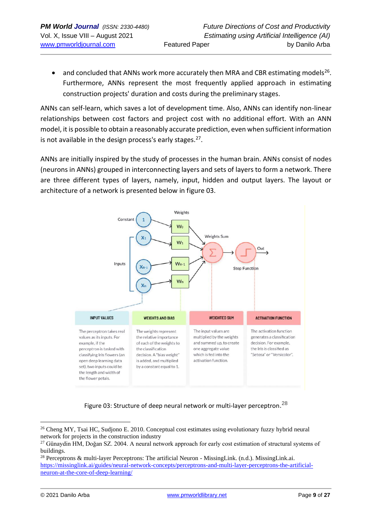$\bullet$  and concluded that ANNs work more accurately then MRA and CBR estimating models<sup>26</sup>. Furthermore, ANNs represent the most frequently applied approach in estimating construction projects' duration and costs during the preliminary stages.

ANNs can self-learn, which saves a lot of development time. Also, ANNs can identify non-linear relationships between cost factors and project cost with no additional effort. With an ANN model, it is possible to obtain a reasonably accurate prediction, even when sufficient information is not available in the design process's early stages.<sup>27</sup>.

ANNs are initially inspired by the study of processes in the human brain. ANNs consist of nodes (neurons in ANNs) grouped in interconnecting layers and sets of layers to form a network. There are three different types of layers, namely, input, hidden and output layers. The layout or architecture of a network is presented below in figure 03.



Figure 03: Structure of deep neural network or multi-layer perceptron.<sup>28</sup>

<sup>&</sup>lt;sup>26</sup> Cheng MY, Tsai HC, Sudjono E. 2010. Conceptual cost estimates using evolutionary fuzzy hybrid neural network for projects in the construction industry

<sup>&</sup>lt;sup>27</sup> Günaydin HM, Doğan SZ. 2004. A neural network approach for early cost estimation of structural systems of buildings.

<sup>28</sup> Perceptrons & multi-layer Perceptrons: The artificial Neuron - MissingLink. (n.d.). MissingLink.ai. [https://missinglink.ai/guides/neural-network-concepts/perceptrons-and-multi-layer-perceptrons-the-artificial](about:blank)[neuron-at-the-core-of-deep-learning/](about:blank)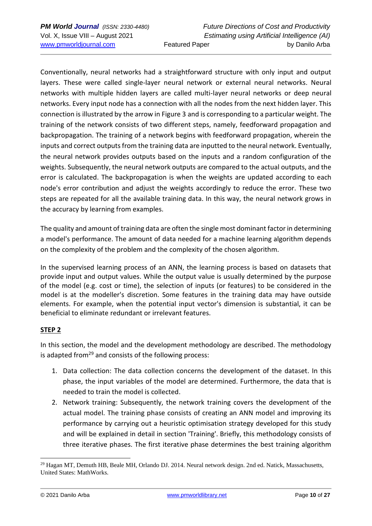Conventionally, neural networks had a straightforward structure with only input and output layers. These were called single-layer neural network or external neural networks. Neural networks with multiple hidden layers are called multi-layer neural networks or deep neural networks. Every input node has a connection with all the nodes from the next hidden layer. This connection is illustrated by the arrow in [Figure 3](about:blank#F0001) and is corresponding to a particular weight. The training of the network consists of two different steps, namely, feedforward propagation and backpropagation. The training of a network begins with feedforward propagation, wherein the inputs and correct outputs from the training data are inputted to the neural network. Eventually, the neural network provides outputs based on the inputs and a random configuration of the weights. Subsequently, the neural network outputs are compared to the actual outputs, and the error is calculated. The backpropagation is when the weights are updated according to each node's error contribution and adjust the weights accordingly to reduce the error. These two steps are repeated for all the available training data. In this way, the neural network grows in the accuracy by learning from examples.

The quality and amount of training data are often the single most dominant factor in determining a model's performance. The amount of data needed for a machine learning algorithm depends on the complexity of the problem and the complexity of the chosen algorithm.

In the supervised learning process of an ANN, the learning process is based on datasets that provide input and output values. While the output value is usually determined by the purpose of the model (e.g. cost or time), the selection of inputs (or features) to be considered in the model is at the modeller's discretion. Some features in the training data may have outside elements. For example, when the potential input vector's dimension is substantial, it can be beneficial to eliminate redundant or irrelevant features.

## **STEP 2**

In this section, the model and the development methodology are described. The methodology is adapted from<sup>29</sup> and consists of the following process:

- 1. Data collection: The data collection concerns the development of the dataset. In this phase, the input variables of the model are determined. Furthermore, the data that is needed to train the model is collected.
- 2. Network training: Subsequently, the network training covers the development of the actual model. The training phase consists of creating an ANN model and improving its performance by carrying out a heuristic optimisation strategy developed for this study and will be explained in detail in section 'Training'. Briefly, this methodology consists of three iterative phases. The first iterative phase determines the best training algorithm

<sup>&</sup>lt;sup>29</sup> Hagan MT, Demuth HB, Beale MH, Orlando DJ. 2014. Neural network design. 2nd ed. Natick, Massachusetts, United States: MathWorks.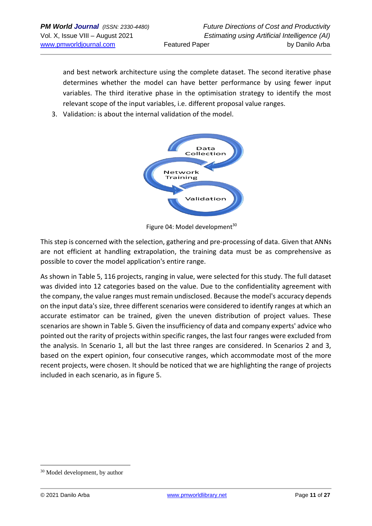and best network architecture using the complete dataset. The second iterative phase determines whether the model can have better performance by using fewer input variables. The third iterative phase in the optimisation strategy to identify the most relevant scope of the input variables, i.e. different proposal value ranges.

3. Validation: is about the internal validation of the model.



Figure 04: Model development<sup>30</sup>

This step is concerned with the selection, gathering and pre-processing of data. Given that ANNs are not efficient at handling extrapolation, the training data must be as comprehensive as possible to cover the model application's entire range.

As shown in Table 5, 116 projects, ranging in value, were selected for this study. The full dataset was divided into 12 categories based on the value. Due to the confidentiality agreement with the company, the value ranges must remain undisclosed. Because the model's accuracy depends on the input data's size, three different scenarios were considered to identify ranges at which an accurate estimator can be trained, given the uneven distribution of project values. These scenarios are shown in Table 5. Given the insufficiency of data and company experts' advice who pointed out the rarity of projects within specific ranges, the last four ranges were excluded from the analysis. In Scenario 1, all but the last three ranges are considered. In Scenarios 2 and 3, based on the expert opinion, four consecutive ranges, which accommodate most of the more recent projects, were chosen. It should be noticed that we are highlighting the range of projects included in each scenario, as in figure 5.

<sup>30</sup> Model development, by author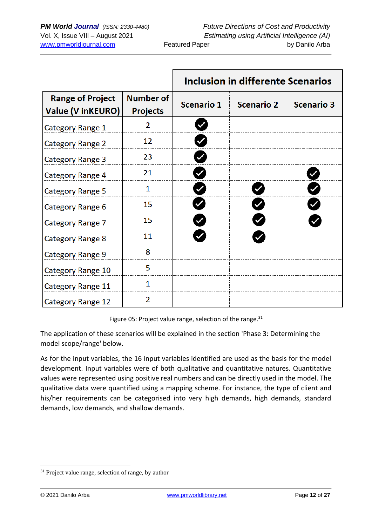|                                                     |                                     | Inclusion in differente Scenarios |                   |                   |  |  |
|-----------------------------------------------------|-------------------------------------|-----------------------------------|-------------------|-------------------|--|--|
| <b>Range of Project</b><br><b>Value (V inKEURO)</b> | <b>Number of</b><br><b>Projects</b> | <b>Scenario 1</b>                 | <b>Scenario 2</b> | <b>Scenario 3</b> |  |  |
| Category Range 1                                    | 2                                   |                                   |                   |                   |  |  |
| <b>Category Range 2</b>                             | 12                                  |                                   |                   |                   |  |  |
| <b>Category Range 3</b>                             | 23                                  |                                   |                   |                   |  |  |
| Category Range 4                                    | 21                                  |                                   |                   |                   |  |  |
| <b>Category Range 5</b>                             | 1                                   |                                   |                   |                   |  |  |
| Category Range 6                                    | 15                                  |                                   |                   |                   |  |  |
| Category Range 7                                    | 15                                  |                                   |                   |                   |  |  |
| <b>Category Range 8</b>                             | 11                                  |                                   |                   |                   |  |  |
| <b>Category Range 9</b>                             | 8                                   |                                   |                   |                   |  |  |
| Category Range 10                                   | 5                                   |                                   |                   |                   |  |  |
| Category Range 11                                   | 1                                   |                                   |                   |                   |  |  |
| Category Range 12                                   | $\overline{2}$                      |                                   |                   |                   |  |  |

Figure 05: Project value range, selection of the range. $31$ 

The application of these scenarios will be explained in the section 'Phase 3: Determining the model scope/range' below.

As for the input variables, the 16 input variables identified are used as the basis for the model development. Input variables were of both qualitative and quantitative natures. Quantitative values were represented using positive real numbers and can be directly used in the model. The qualitative data were quantified using a mapping scheme. For instance, the type of client and his/her requirements can be categorised into very high demands, high demands, standard demands, low demands, and shallow demands.

<sup>&</sup>lt;sup>31</sup> Project value range, selection of range, by author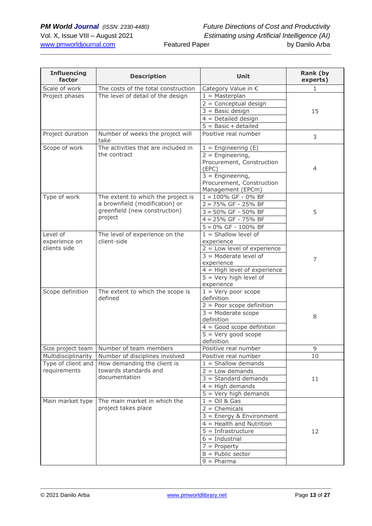| <b>Influencing</b><br>factor | <b>Description</b>                       | Unit                                | Rank (by<br>experts) |
|------------------------------|------------------------------------------|-------------------------------------|----------------------|
| Scale of work                | The costs of the total construction      | Category Value in €                 | 1                    |
| Project phases               | The level of detail of the design        | $1 = Masterplan$                    |                      |
|                              |                                          | $2 =$ Conceptual design             |                      |
|                              |                                          | $3 =$ Basic design                  | 15                   |
|                              |                                          | $4 =$ Detailed design               |                      |
|                              |                                          | $5 =$ Basic + detailed              |                      |
| Project duration             | Number of weeks the project will<br>take | Positive real number                | 3                    |
| Scope of work                | The activities that are included in      | $1 =$ Engineering (E)               |                      |
|                              | the contract                             | $2 =$ Engineering,                  |                      |
|                              |                                          | Procurement, Construction<br>(EPC)  | $\overline{4}$       |
|                              |                                          | $3 =$ Engineering,                  |                      |
|                              |                                          | Procurement, Construction           |                      |
|                              |                                          | Management (EPCm)                   |                      |
| Type of work                 | The extent to which the project is       | $1 = 100\%$ GF - 0% BF              |                      |
|                              | a brownfield (modification) or           | $2 = 75\%$ GF - 25% BF              |                      |
|                              | greenfield (new construction)            | $3 = 50\%$ GF - 50% BF              | 5                    |
|                              | project                                  | $4 = 25\%$ GF - 75% BF              |                      |
|                              |                                          | $5 = 0\%$ GF - 100% BF              |                      |
| Level of                     | The level of experience on the           | $1 =$ Shallow level of              |                      |
| experience on                | client-side                              | experience                          |                      |
| clients side                 |                                          | $2 =$ Low level of experience       |                      |
|                              |                                          | $3$ = Moderate level of             | $\overline{7}$       |
|                              |                                          | experience                          |                      |
|                              |                                          | $4 = High level of experience$      |                      |
|                              |                                          | $5 =$ Very high level of            |                      |
| Scope definition             | The extent to which the scope is         | experience<br>$1 =$ Very poor scope |                      |
|                              | defined                                  | definition                          |                      |
|                              |                                          | $2 =$ Poor scope definition         |                      |
|                              |                                          | $3 =$ Moderate scope                |                      |
|                              |                                          | definition                          | 8                    |
|                              |                                          | $4 = Good scope definition$         |                      |
|                              |                                          | $5 =$ Very good scope               |                      |
|                              |                                          | definition                          |                      |
| Size project team            | Number of team members                   | Positive real number                | 9                    |
| Multidisciplinarity          | Number of disciplines involved           | Positive real number                | 10                   |
| Type of client and           | How demanding the client is              | $1 =$ Shallow demands               |                      |
| requirements                 | towards standards and                    | $2 = Low$ demands                   |                      |
|                              | documentation                            | $3 = Standard$ demands              | 11                   |
|                              |                                          | $4 = High demands$                  |                      |
|                              |                                          | $5 =$ Very high demands             |                      |
| Main market type             | The main market in which the             | $1 =$ Oil & Gas                     |                      |
|                              | project takes place                      | $2 =$ Chemicals                     |                      |
|                              |                                          | $3$ = Energy & Environment          |                      |
|                              |                                          | $4 =$ Health and Nutrition          |                      |
|                              |                                          | $5 = Infrastructure$                | 12                   |
|                              |                                          | $6 =$ Industrial                    |                      |
|                              |                                          | $7$ = Property                      |                      |
|                              |                                          | $8 =$ Public sector                 |                      |
|                              |                                          | $9 = Pharma$                        |                      |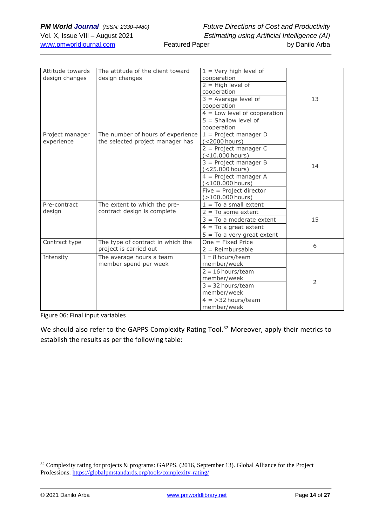| Attitude towards<br>design changes | The attitude of the client toward<br>design changes                   | $1 =$ Very high level of<br>cooperation<br>$2 = High level of$<br>cooperation<br>$3$ = Average level of<br>cooperation<br>$4 =$ Low level of cooperation<br>$5 = Shallow level of$<br>cooperation                                            | 13 |
|------------------------------------|-----------------------------------------------------------------------|----------------------------------------------------------------------------------------------------------------------------------------------------------------------------------------------------------------------------------------------|----|
| Project manager<br>experience      | The number of hours of experience<br>the selected project manager has | $1 =$ Project manager D<br>(<2000 hours)<br>$2$ = Project manager C<br>$(<$ 10.000 hours)<br>$3$ = Project manager B<br>(<25.000 hours)<br>$4$ = Project manager A<br>$(<$ 100.000 hours)<br>Five = Project director<br>$($ > 100.000 hours) | 14 |
| Pre-contract<br>design             | The extent to which the pre-<br>contract design is complete           | $1 = To a small extent$<br>$2 = To$ some extent<br>$3 = To a moderate extent$<br>$4 = To a great extent$<br>$5 = To$ a very great extent                                                                                                     | 15 |
| Contract type                      | The type of contract in which the<br>project is carried out           | $One = Fixed Price$<br>$2 =$ Reimbursable                                                                                                                                                                                                    | 6  |
| Intensity                          | The average hours a team<br>member spend per week                     | $1 = 8$ hours/team<br>member/week<br>$2 = 16$ hours/team<br>member/week<br>$3 = 32$ hours/team<br>member/week<br>$4 = 32$ hours/team<br>member/week                                                                                          | 2  |

Figure 06: Final input variables

We should also refer to the GAPPS Complexity Rating Tool.<sup>32</sup> Moreover, apply their metrics to establish the results as per the following table:

<sup>&</sup>lt;sup>32</sup> Complexity rating for projects & programs: GAPPS. (2016, September 13). Global Alliance for the Project Professions.<https://globalpmstandards.org/tools/complexity-rating/>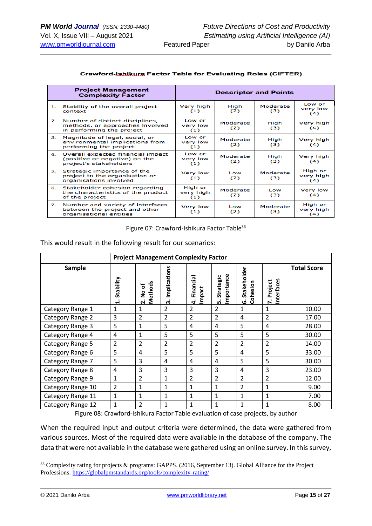|                | <b>Project Management</b><br><b>Complexity Factor</b>                                           |                             | <b>Descriptor and Points</b> |                 |                             |
|----------------|-------------------------------------------------------------------------------------------------|-----------------------------|------------------------------|-----------------|-----------------------------|
| 1.             | Stability of the overall project<br>context                                                     | Very high<br>(1)            | High<br>(2)                  | Moderate<br>(3) | Low or<br>very low<br>(4)   |
| 2.             | Number of distinct disciplines,<br>methods, or approaches involved<br>in performing the project | Low or<br>very low<br>(1)   | Moderate<br>(2)              | High<br>(3)     | Very high<br>(4)            |
| з.             | Magnitude of legal, social, or<br>environmental implications from<br>performing the project     | Low or<br>very low<br>(1)   | Moderate<br>(2)              | High<br>(3)     | Very high<br>(4)            |
| 4.             | Overall expected financial impact<br>(positive or negative) on the<br>project's stakeholders    | Low or<br>very low<br>(1)   | Moderate<br>(2)              | High<br>(3)     | Very high<br>(4)            |
| 5.             | Strategic importance of the<br>project to the organisation or<br>organisations involved         | Very low<br>(1)             | Low<br>(2)                   | Moderate<br>(3) | High or<br>very high<br>(4) |
| 6.             | Stakeholder cohesion regarding<br>the characteristics of the product<br>of the project          | High or<br>very high<br>(1) | Moderate<br>(2)              | Low<br>(3)      | Very low<br>(4)             |
| $Z_{\rm{eff}}$ | Number and variety of interfaces<br>between the project and other<br>organisational entities    | Very low<br>(1)             | Low<br>(2)                   | Moderate<br>(3) | High or<br>very high<br>(4) |

#### **Crawford-Ishikura Factor Table for Evaluating Roles (CIFTER)**

Figure 07: Crawford-Ishikura Factor Table<sup>33</sup>

This would result in the following result for our scenarios:

|                   | <b>Project Management Complexity Factor</b> |                        |                    |                         |                               |                               |                                               |                    |
|-------------------|---------------------------------------------|------------------------|--------------------|-------------------------|-------------------------------|-------------------------------|-----------------------------------------------|--------------------|
| <b>Sample</b>     | Stability                                   | Methods<br>No of<br>2. | Implications<br>ന് | Financia<br>Impact<br>4 | Importance<br>Strategic<br>ம் | Stakeholder<br>Cohesion<br>نی | Interfaces<br>Project<br>$\ddot{\phantom{a}}$ | <b>Total Score</b> |
| Category Range 1  | 1                                           | 1                      | $\overline{2}$     | $\overline{2}$          | $\overline{2}$                | 1                             | 1                                             | 10.00              |
| Category Range 2  | 3                                           | $\overline{2}$         | $\overline{2}$     | $\overline{2}$          | $\overline{2}$                | 4                             | $\overline{2}$                                | 17.00              |
| Category Range 3  | 5                                           | 1                      | 5                  | 4                       | 4                             | 5                             | 4                                             | 28.00              |
| Category Range 4  | 4                                           | 1                      | 5                  | 5                       | 5                             | 5                             | 5                                             | 30.00              |
| Category Range 5  | 2                                           | $\overline{2}$         | $\overline{2}$     | $\overline{2}$          | 2                             | $\overline{2}$                | $\overline{2}$                                | 14.00              |
| Category Range 6  | 5                                           | 4                      | 5                  | 5                       | 5                             | 4                             | 5                                             | 33.00              |
| Category Range 7  | 5                                           | 3                      | 4                  | 4                       | 4                             | 5                             | 5                                             | 30.00              |
| Category Range 8  | 4                                           | 3                      | 3                  | 3                       | 3                             | 4                             | 3                                             | 23.00              |
| Category Range 9  | 1                                           | $\overline{2}$         | 1                  | $\overline{2}$          | 2                             | $\overline{2}$                | $\overline{2}$                                | 12.00              |
| Category Range 10 | $\overline{2}$                              | $\mathbf{1}$           | 1                  | $\mathbf{1}$            | 1                             | $\overline{2}$                | 1                                             | 9.00               |
| Category Range 11 | 1                                           | $\mathbf{1}$           | 1                  | 1                       | 1                             | 1                             | 1                                             | 7.00               |
| Category Range 12 | 1                                           | 2                      | 1                  | 1                       | $\mathbf{1}$                  | 1                             | 1                                             | 8.00               |

Figure 08: Crawford-Ishikura Factor Table evaluation of case projects, by author

When the required input and output criteria were determined, the data were gathered from various sources. Most of the required data were available in the database of the company. The data that were not available in the database were gathered using an online survey. In this survey,

<sup>&</sup>lt;sup>33</sup> Complexity rating for projects & programs: GAPPS. (2016, September 13). Global Alliance for the Project Professions.<https://globalpmstandards.org/tools/complexity-rating/>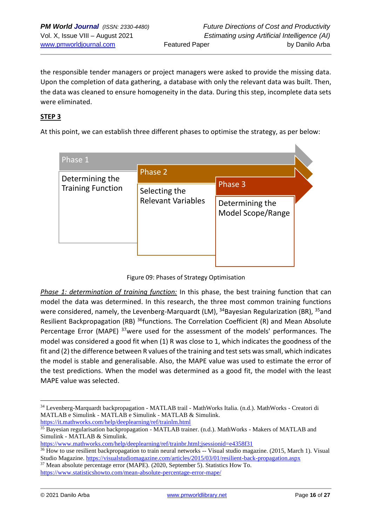the responsible tender managers or project managers were asked to provide the missing data. Upon the completion of data gathering, a database with only the relevant data was built. Then, the data was cleaned to ensure homogeneity in the data. During this step, incomplete data sets were eliminated.

### **STEP 3**

At this point, we can establish three different phases to optimise the strategy, as per below:

| Phase 1                  |                           |                                      |  |  |  |
|--------------------------|---------------------------|--------------------------------------|--|--|--|
| Determining the          | Phase 2                   |                                      |  |  |  |
| <b>Training Function</b> | Selecting the             | Phase 3                              |  |  |  |
|                          | <b>Relevant Variables</b> | Determining the<br>Model Scope/Range |  |  |  |

Figure 09: Phases of Strategy Optimisation

*Phase 1: determination of training function:* In this phase, the best training function that can model the data was determined. In this research, the three most common training functions were considered, namely, the Levenberg-Marquardt (LM),  $34B$ avesian Regularization (BR),  $35$ and Resilient Backpropagation (RB) <sup>36</sup>functions. The Correlation Coefficient (R) and Mean Absolute Percentage Error (MAPE) <sup>37</sup>were used for the assessment of the models' performances. The model was considered a good fit when (1) R was close to 1, which indicates the goodness of the fit and (2) the difference between R values of the training and test sets was small, which indicates the model is stable and generalisable. Also, the MAPE value was used to estimate the error of the test predictions. When the model was determined as a good fit, the model with the least MAPE value was selected.

<sup>34</sup> Levenberg-Marquardt backpropagation - MATLAB trail - MathWorks Italia. (n.d.). MathWorks - Creatori di MATLAB e Simulink - MATLAB e Simulink - MATLAB & Simulink. [https://it.mathworks.com/help/deeplearning/ref/trainlm.html](about:blank)

<sup>35</sup> Bayesian regularisation backpropagation - MATLAB trainer. (n.d.). MathWorks - Makers of MATLAB and Simulink - MATLAB & Simulink.

[https://www.mathworks.com/help/deeplearning/ref/trainbr.html;jsessionid=e4358f31](about:blank)

<sup>&</sup>lt;sup>36</sup> How to use resilient backpropagation to train neural networks -- Visual studio magazine. (2015, March 1). Visual Studio Magazine. [https://visualstudiomagazine.com/articles/2015/03/01/resilient-back-propagation.aspx](about:blank)

 $37$  Mean absolute percentage error (MAPE). (2020, September 5). Statistics How To. [https://www.statisticshowto.com/mean-absolute-percentage-error-mape/](about:blank)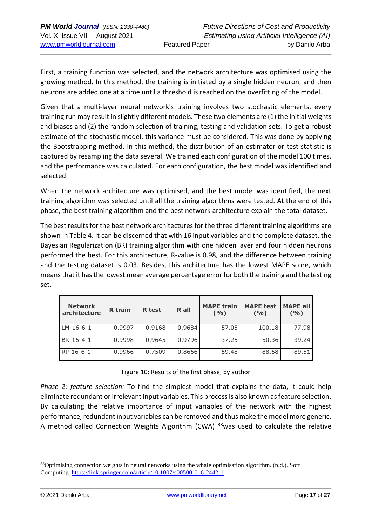First, a training function was selected, and the network architecture was optimised using the growing method. In this method, the training is initiated by a single hidden neuron, and then neurons are added one at a time until a threshold is reached on the overfitting of the model.

Given that a multi-layer neural network's training involves two stochastic elements, every training run may result in slightly different models. These two elements are (1) the initial weights and biases and (2) the random selection of training, testing and validation sets. To get a robust estimate of the stochastic model, this variance must be considered. This was done by applying the Bootstrapping method. In this method, the distribution of an estimator or test statistic is captured by resampling the data several. We trained each configuration of the model 100 times, and the performance was calculated. For each configuration, the best model was identified and selected.

When the network architecture was optimised, and the best model was identified, the next training algorithm was selected until all the training algorithms were tested. At the end of this phase, the best training algorithm and the best network architecture explain the total dataset.

The best results for the best network architectures for the three different training algorithms are shown in Table 4. It can be discerned that with 16 input variables and the complete dataset, the Bayesian Regularization (BR) training algorithm with one hidden layer and four hidden neurons performed the best. For this architecture, R-value is 0.98, and the difference between training and the testing dataset is 0.03. Besides, this architecture has the lowest MAPE score, which means that it has the lowest mean average percentage error for both the training and the testing set.

| <b>Network</b><br>architecture | R train | R test | R all  | <b>MAPE train</b><br>(9/0) | <b>MAPE test</b><br>(9/0) | <b>MAPE all</b><br>(9/0) |
|--------------------------------|---------|--------|--------|----------------------------|---------------------------|--------------------------|
| $LM-16-6-1$                    | 0.9997  | 0.9168 | 0.9684 | 57.05                      | 100.18                    | 77.98                    |
| BR-16-4-1                      | 0.9998  | 0.9645 | 0.9796 | 37.25                      | 50.36                     | 39.24                    |
| RP-16-6-1                      | 0.9966  | 0.7509 | 0.8666 | 59.48                      | 88.68                     | 89.51                    |

Figure 10: Results of the first phase, by author

*Phase 2: feature selection:* To find the simplest model that explains the data, it could help eliminate redundant or irrelevant input variables. This process is also known as feature selection. By calculating the relative importance of input variables of the network with the highest performance, redundant input variables can be removed and thus make the model more generic. A method called Connection Weights Algorithm (CWA)  $38$  was used to calculate the relative

 $38$ Optimising connection weights in neural networks using the whale optimisation algorithm. (n.d.). Soft Computing. [https://link.springer.com/article/10.1007/s00500-016-2442-1](about:blank)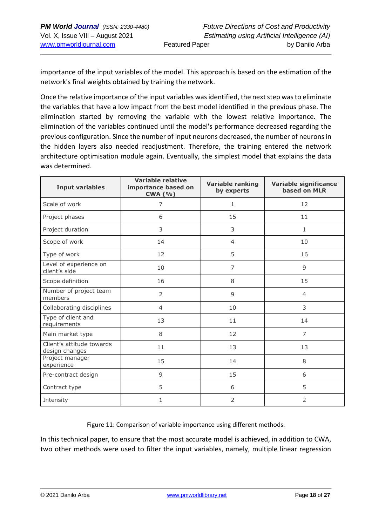importance of the input variables of the model. This approach is based on the estimation of the network's final weights obtained by training the network.

Once the relative importance of the input variables was identified, the next step was to eliminate the variables that have a low impact from the best model identified in the previous phase. The elimination started by removing the variable with the lowest relative importance. The elimination of the variables continued until the model's performance decreased regarding the previous configuration. Since the number of input neurons decreased, the number of neurons in the hidden layers also needed readjustment. Therefore, the training entered the network architecture optimisation module again. Eventually, the simplest model that explains the data was determined.

| <b>Input variables</b>                      | Variable relative<br>importance based on<br><b>CWA (%)</b> | <b>Variable ranking</b><br>by experts | Variable significance<br>based on MLR |
|---------------------------------------------|------------------------------------------------------------|---------------------------------------|---------------------------------------|
| Scale of work                               | 7                                                          | $\mathbf{1}$                          | 12                                    |
| Project phases                              | 6                                                          | 15                                    | 11                                    |
| Project duration                            | 3                                                          | 3                                     | $\mathbf{1}$                          |
| Scope of work                               | 14                                                         | 4                                     | 10                                    |
| Type of work                                | 12                                                         | 5                                     | 16                                    |
| Level of experience on<br>client's side     | 10                                                         | 7                                     | 9                                     |
| Scope definition                            | 16                                                         | 8                                     | 15                                    |
| Number of project team<br>members           | $\overline{2}$                                             | 9                                     | $\overline{4}$                        |
| Collaborating disciplines                   | $\overline{4}$                                             | 10                                    | 3                                     |
| Type of client and<br>requirements          | 13                                                         | 11                                    | 14                                    |
| Main market type                            | 8                                                          | 12                                    | 7                                     |
| Client's attitude towards<br>design changes | 11                                                         | 13                                    | 13                                    |
| Project manager<br>experience               | 15                                                         | 14                                    | 8                                     |
| Pre-contract design                         | 9                                                          | 15                                    | 6                                     |
| Contract type                               | 5                                                          | 6                                     | 5                                     |
| Intensity                                   | 1                                                          | $\overline{2}$                        | $\overline{2}$                        |

Figure 11: Comparison of variable importance using different methods.

In this technical paper, to ensure that the most accurate model is achieved, in addition to CWA, two other methods were used to filter the input variables, namely, multiple linear regression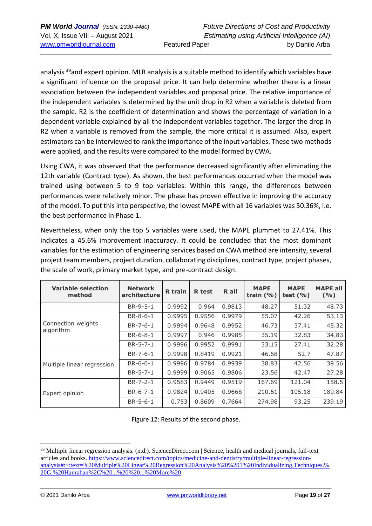analysis <sup>39</sup>and expert opinion. MLR analysis is a suitable method to identify which variables have a significant influence on the proposal price. It can help determine whether there is a linear association between the independent variables and proposal price. The relative importance of the independent variables is determined by the unit drop in R2 when a variable is deleted from the sample. R2 is the coefficient of determination and shows the percentage of variation in a dependent variable explained by all the independent variables together. The larger the drop in R2 when a variable is removed from the sample, the more critical it is assumed. Also, expert estimators can be interviewed to rank the importance of the input variables. These two methods were applied, and the results were compared to the model formed by CWA.

Using CWA, it was observed that the performance decreased significantly after eliminating the 12th variable (Contract type). As shown, the best performances occurred when the model was trained using between 5 to 9 top variables. Within this range, the differences between performances were relatively minor. The phase has proven effective in improving the accuracy of the model. To put this into perspective, the lowest MAPE with all 16 variables was 50.36%, i.e. the best performance in Phase 1.

Nevertheless, when only the top 5 variables were used, the MAPE plummet to 27.41%. This indicates a 45.6% improvement inaccuracy. It could be concluded that the most dominant variables for the estimation of engineering services based on CWA method are intensity, several project team members, project duration, collaborating disciplines, contract type, project phases, the scale of work, primary market type, and pre-contract design.

| <b>Variable selection</b><br>method | <b>Network</b><br>architecture | <b>R</b> train | <b>R</b> test | R all  | <b>MAPE</b><br>train $(% )$ | <b>MAPE</b><br>test $(\% )$ | <b>MAPE all</b><br>(9/6) |
|-------------------------------------|--------------------------------|----------------|---------------|--------|-----------------------------|-----------------------------|--------------------------|
|                                     | BR-9-5-1                       | 0.9992         | 0.964         | 0.9813 | 48.27                       | 51.32                       | 48.73                    |
|                                     | $BR-8-6-1$                     | 0.9995         | 0.9556        | 0.9979 | 55.07                       | 42.26                       | 53.13                    |
| Connection weights<br>algorithm     | $BR - 7 - 6 - 1$               | 0.9994         | 0.9648        | 0.9952 | 46.73                       | 37.41                       | 45.32                    |
|                                     | $BR-6-8-1$                     | 0.9997         | 0.946         | 0.9985 | 35.19                       | 32.83                       | 34.83                    |
|                                     | $BR - 5 - 7 - 1$               | 0.9996         | 0.9952        | 0.9991 | 33.15                       | 27.41                       | 32.28                    |
|                                     | $BR - 7 - 6 - 1$               | 0.9998         | 0.8419        | 0.9921 | 46.68                       | 52.7                        | 47.87                    |
| Multiple linear regression          | $BR-6-6-1$                     | 0.9996         | 0.9784        | 0.9939 | 38.83                       | 42.56                       | 39.56                    |
|                                     | $BR - 5 - 7 - 1$               | 0.9999         | 0.9065        | 0.9806 | 23.56                       | 42.47                       | 27.28                    |
|                                     | $BR - 7 - 2 - 1$               | 0.9583         | 0.9449        | 0.9519 | 167.69                      | 121.04                      | 158.5                    |
| Expert opinion                      | $BR-6-7-1$                     | 0.9824         | 0.9405        | 0.9668 | 210.61                      | 105.18                      | 189.84                   |
|                                     | $BR-5-6-1$                     | 0.753          | 0.8609        | 0.7664 | 274.98                      | 93.25                       | 239.19                   |

Figure 12: Results of the second phase.

<sup>39</sup> Multiple linear regression analysis. (n.d.). ScienceDirect.com | Science, health and medical journals, full-text articles and books. [https://www.sciencedirect.com/topics/medicine-and-dentistry/multiple-linear-regression](about:blank#:~:text=%20Multiple%20Linear%20Regression%20Analysis%20%201%20Individualizing,Techniques.%20G.%20Hanrahan%2C%20...%20%20...%20More%20)[analysis#:~:text=%20Multiple%20Linear%20Regression%20Analysis%20%201%20Individualizing,Techniques.%](about:blank#:~:text=%20Multiple%20Linear%20Regression%20Analysis%20%201%20Individualizing,Techniques.%20G.%20Hanrahan%2C%20...%20%20...%20More%20) [20G.%20Hanrahan%2C%20...%20%20...%20More%20](about:blank#:~:text=%20Multiple%20Linear%20Regression%20Analysis%20%201%20Individualizing,Techniques.%20G.%20Hanrahan%2C%20...%20%20...%20More%20)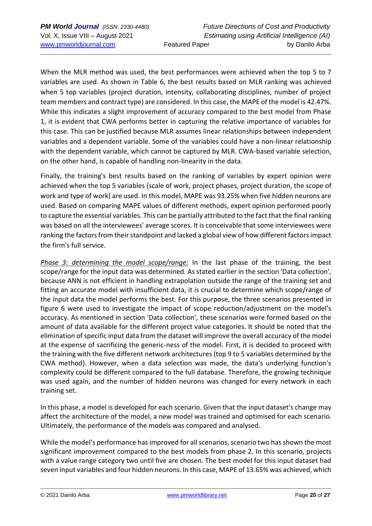When the MLR method was used, the best performances were achieved when the top 5 to 7 variables are used. As shown in Table 6, the best results based on MLR ranking was achieved when 5 top variables (project duration, intensity, collaborating disciplines, number of project team members and contract type) are considered. In this case, the MAPE of the model is 42.47%. While this indicates a slight improvement of accuracy compared to the best model from Phase 1, it is evident that CWA performs better in capturing the relative importance of variables for this case. This can be justified because MLR assumes linear relationships between independent variables and a dependent variable. Some of the variables could have a non-linear relationship with the dependent variable, which cannot be captured by MLR. CWA-based variable selection, on the other hand, is capable of handling non-linearity in the data.

Finally, the training's best results based on the ranking of variables by expert opinion were achieved when the top 5 variables (scale of work, project phases, project duration, the scope of work and type of work) are used. In this model, MAPE was 93.25% when five hidden neurons are used. Based on comparing MAPE values of different methods, expert opinion performed poorly to capture the essential variables. This can be partially attributed to the fact that the final ranking was based on all the interviewees' average scores. It is conceivable that some interviewees were ranking the factors from their standpoint and lacked a global view of how different factors impact the firm's full service.

*Phase 3: determining the model scope/range:* In the last phase of the training, the best scope/range for the input data was determined. As stated earlier in the section 'Data collection', because ANN is not efficient in handling extrapolation outside the range of the training set and fitting an accurate model with insufficient data, it is crucial to determine which scope/range of the input data the model performs the best. For this purpose, the three scenarios presented in figure 6 were used to investigate the impact of scope reduction/adjustment on the model's accuracy. As mentioned in section 'Data collection', these scenarios were formed based on the amount of data available for the different project value categories. It should be noted that the elimination of specific input data from the dataset will improve the overall accuracy of the model at the expense of sacrificing the generic-ness of the model. First, it is decided to proceed with the training with the five different network architectures (top 9 to 5 variables determined by the CWA method). However, when a data selection was made, the data's underlying function's complexity could be different compared to the full database. Therefore, the growing technique was used again, and the number of hidden neurons was changed for every network in each training set.

In this phase, a model is developed for each scenario. Given that the input dataset's change may affect the architecture of the model, a new model was trained and optimised for each scenario. Ultimately, the performance of the models was compared and analysed.

While the model's performance has improved for all scenarios, scenario two has shown the most significant improvement compared to the best models from phase 2. In this scenario, projects with a value range category two until five are chosen. The best model for this input dataset had seven input variables and four hidden neurons. In this case, MAPE of 13.65% was achieved, which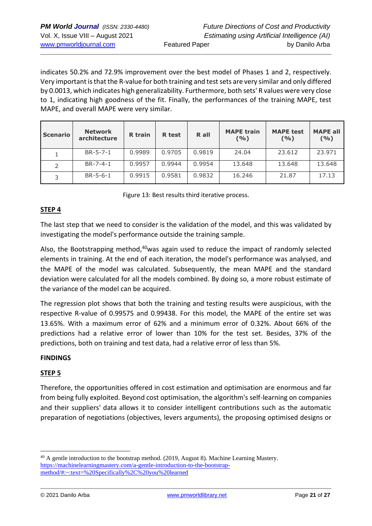indicates 50.2% and 72.9% improvement over the best model of Phases 1 and 2, respectively. Very important is that the R-value for both training and test sets are very similar and only differed by 0.0013, which indicates high generalizability. Furthermore, both sets' R values were very close to 1, indicating high goodness of the fit. Finally, the performances of the training MAPE, test MAPE, and overall MAPE were very similar.

| <b>Scenario</b> | <b>Network</b><br>architecture | <b>R</b> train | <b>R</b> test | R all  | <b>MAPE train</b><br>( %) | <b>MAPE test</b><br>(9/0) | <b>MAPE all</b><br>(9/6) |
|-----------------|--------------------------------|----------------|---------------|--------|---------------------------|---------------------------|--------------------------|
|                 | $BR - 5 - 7 - 1$               | 0.9989         | 0.9705        | 0.9819 | 24.04                     | 23.612                    | 23.971                   |
|                 | $BR - 7 - 4 - 1$               | 0.9957         | 0.9944        | 0.9954 | 13.648                    | 13.648                    | 13.648                   |
|                 | $BR - 5 - 6 - 1$               | 0.9915         | 0.9581        | 0.9832 | 16.246                    | 21.87                     | 17.13                    |

Figure 13: Best results third iterative process.

### **STEP 4**

The last step that we need to consider is the validation of the model, and this was validated by investigating the model's performance outside the training sample.

Also, the Bootstrapping method,<sup>40</sup>was again used to reduce the impact of randomly selected elements in training. At the end of each iteration, the model's performance was analysed, and the MAPE of the model was calculated. Subsequently, the mean MAPE and the standard deviation were calculated for all the models combined. By doing so, a more robust estimate of the variance of the model can be acquired.

The regression plot shows that both the training and testing results were auspicious, with the respective R-value of 0.99575 and 0.99438. For this model, the MAPE of the entire set was 13.65%. With a maximum error of 62% and a minimum error of 0.32%. About 66% of the predictions had a relative error of lower than 10% for the test set. Besides, 37% of the predictions, both on training and test data, had a relative error of less than 5%.

### **FINDINGS**

### **STEP 5**

Therefore, the opportunities offered in cost estimation and optimisation are enormous and far from being fully exploited. Beyond cost optimisation, the algorithm's self-learning on companies and their suppliers' data allows it to consider intelligent contributions such as the automatic preparation of negotiations (objectives, levers arguments), the proposing optimised designs or

<sup>&</sup>lt;sup>40</sup> A gentle introduction to the bootstrap method. (2019, August 8). Machine Learning Mastery. [https://machinelearningmastery.com/a-gentle-introduction-to-the-bootstrap](about:blank#:~:text=%20Specifically%2C%20you%20learned)[method/#:~:text=%20Specifically%2C%20you%20learned](about:blank#:~:text=%20Specifically%2C%20you%20learned)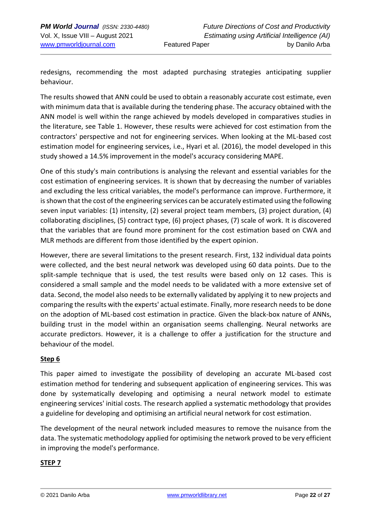redesigns, recommending the most adapted purchasing strategies anticipating supplier behaviour.

The results showed that ANN could be used to obtain a reasonably accurate cost estimate, even with minimum data that is available during the tendering phase. The accuracy obtained with the ANN model is well within the range achieved by models developed in comparatives studies in the literature, see Table 1. However, these results were achieved for cost estimation from the contractors' perspective and not for engineering services. When looking at the ML-based cost estimation model for engineering services, i.e., Hyari et al. (2016), the model developed in this study showed a 14.5% improvement in the model's accuracy considering MAPE.

One of this study's main contributions is analysing the relevant and essential variables for the cost estimation of engineering services. It is shown that by decreasing the number of variables and excluding the less critical variables, the model's performance can improve. Furthermore, it is shown that the cost of the engineering services can be accurately estimated using the following seven input variables: (1) intensity, (2) several project team members, (3) project duration, (4) collaborating disciplines, (5) contract type, (6) project phases, (7) scale of work. It is discovered that the variables that are found more prominent for the cost estimation based on CWA and MLR methods are different from those identified by the expert opinion.

However, there are several limitations to the present research. First, 132 individual data points were collected, and the best neural network was developed using 60 data points. Due to the split-sample technique that is used, the test results were based only on 12 cases. This is considered a small sample and the model needs to be validated with a more extensive set of data. Second, the model also needs to be externally validated by applying it to new projects and comparing the results with the experts' actual estimate. Finally, more research needs to be done on the adoption of ML-based cost estimation in practice. Given the black-box nature of ANNs, building trust in the model within an organisation seems challenging. Neural networks are accurate predictors. However, it is a challenge to offer a justification for the structure and behaviour of the model.

### **Step 6**

This paper aimed to investigate the possibility of developing an accurate ML-based cost estimation method for tendering and subsequent application of engineering services. This was done by systematically developing and optimising a neural network model to estimate engineering services' initial costs. The research applied a systematic methodology that provides a guideline for developing and optimising an artificial neural network for cost estimation.

The development of the neural network included measures to remove the nuisance from the data. The systematic methodology applied for optimising the network proved to be very efficient in improving the model's performance.

### **STEP 7**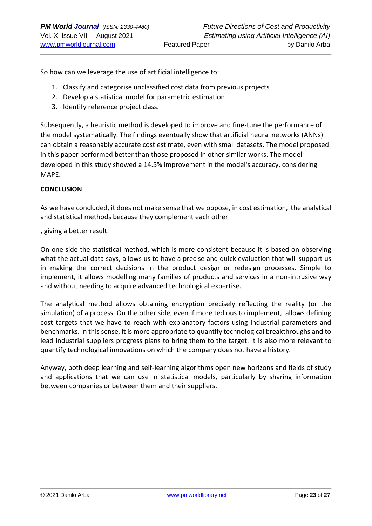So how can we leverage the use of artificial intelligence to:

- 1. Classify and categorise unclassified cost data from previous projects
- 2. Develop a statistical model for parametric estimation
- 3. Identify reference project class.

Subsequently, a heuristic method is developed to improve and fine-tune the performance of the model systematically. The findings eventually show that artificial neural networks (ANNs) can obtain a reasonably accurate cost estimate, even with small datasets. The model proposed in this paper performed better than those proposed in other similar works. The model developed in this study showed a 14.5% improvement in the model's accuracy, considering MAPE.

#### **CONCLUSION**

As we have concluded, it does not make sense that we oppose, in cost estimation, the analytical and statistical methods because they complement each other

, giving a better result.

On one side the statistical method, which is more consistent because it is based on observing what the actual data says, allows us to have a precise and quick evaluation that will support us in making the correct decisions in the product design or redesign processes. Simple to implement, it allows modelling many families of products and services in a non-intrusive way and without needing to acquire advanced technological expertise.

The analytical method allows obtaining encryption precisely reflecting the reality (or the simulation) of a process. On the other side, even if more tedious to implement, allows defining cost targets that we have to reach with explanatory factors using industrial parameters and benchmarks. In this sense, it is more appropriate to quantify technological breakthroughs and to lead industrial suppliers progress plans to bring them to the target. It is also more relevant to quantify technological innovations on which the company does not have a history.

Anyway, both deep learning and self-learning algorithms open new horizons and fields of study and applications that we can use in statistical models, particularly by sharing information between companies or between them and their suppliers.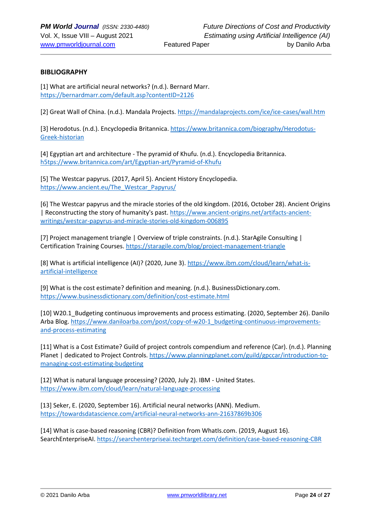#### **BIBLIOGRAPHY**

[1] What are artificial neural networks? (n.d.). Bernard Marr. [https://bernardmarr.com/default.asp?contentID=2126](about:blank)

[2] Great Wall of China. (n.d.). Mandala Projects. [https://mandalaprojects.com/ice/ice-cases/wall.htm](about:blank)

[3] Herodotus. (n.d.). Encyclopedia Britannica. [https://www.britannica.com/biography/Herodotus-](https://www.britannica.com/biography/Herodotus-Greek-historian)[Greek-historian](https://www.britannica.com/biography/Herodotus-Greek-historian)

[4] Egyptian art and architecture - The pyramid of Khufu. (n.d.). Encyclopedia Britannica. [h5tps://www.britannica.com/art/Egyptian-art/Pyramid-of-Khufu](https://www.britannica.com/art/Egyptian-art/Pyramid-of-Khufu)

[5] The Westcar papyrus. (2017, April 5). Ancient History Encyclopedia. [https://www.ancient.eu/The\\_Westcar\\_Papyrus/](about:blank)

[6] The Westcar papyrus and the miracle stories of the old kingdom. (2016, October 28). Ancient Origins | Reconstructing the story of humanity's past. [https://www.ancient-origins.net/artifacts-ancient](about:blank)[writings/westcar-papyrus-and-miracle-stories-old-kingdom-006895](about:blank)

[7] Project management triangle | Overview of triple constraints. (n.d.). StarAgile Consulting | Certification Training Courses[. https://staragile.com/blog/project-management-triangle](about:blank)

[8] What is artificial intelligence (AI)? (2020, June 3). [https://www.ibm.com/cloud/learn/what-is](about:blank)[artificial-intelligence](about:blank)

[9] What is the cost estimate? definition and meaning. (n.d.). BusinessDictionary.com. [https://www.businessdictionary.com/definition/cost-estimate.html](about:blank)

[10] W20.1 Budgeting continuous improvements and process estimating. (2020, September 26). Danilo Arba Blog. [https://www.daniloarba.com/post/copy-of-w20-1\\_budgeting-continuous-improvements](about:blank)[and-process-estimating](about:blank)

[11] What is a Cost Estimate? Guild of project controls compendium and reference (Car). (n.d.). Planning Planet | dedicated to Project Controls. [https://www.planningplanet.com/guild/gpccar/introduction-to](about:blank)[managing-cost-estimating-budgeting](about:blank)

[12] What is natural language processing? (2020, July 2). IBM - United States. [https://www.ibm.com/cloud/learn/natural-language-processing](about:blank)

[13] Seker, E. (2020, September 16). Artificial neural networks (ANN). Medium. [https://towardsdatascience.com/artificial-neural-networks-ann-21637869b306](about:blank)

[14] What is case-based reasoning (CBR)? Definition from WhatIs.com. (2019, August 16). SearchEnterpriseAI. [https://searchenterpriseai.techtarget.com/definition/case-based-reasoning-CBR](about:blank)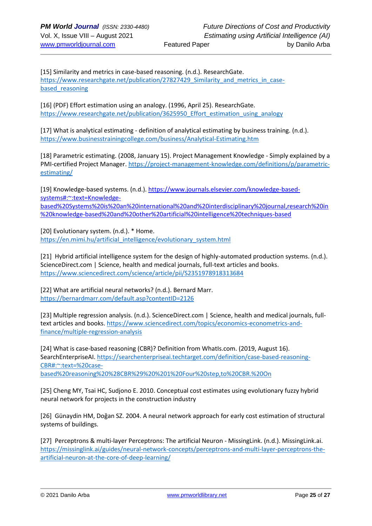[15] Similarity and metrics in case-based reasoning. (n.d.). ResearchGate. https://www.researchgate.net/publication/27827429 Similarity and metrics in casebased reasoning

[16] (PDF) Effort estimation using an analogy. (1996, April 25). ResearchGate. [https://www.researchgate.net/publication/3625950\\_Effort\\_estimation\\_using\\_analogy](about:blank)

[17] What is analytical estimating - definition of analytical estimating by business training. (n.d.). [https://www.businesstrainingcollege.com/business/Analytical-Estimating.htm](about:blank)

[18] Parametric estimating. (2008, January 15). Project Management Knowledge - Simply explained by a PMI-certified Project Manager[. https://project-management-knowledge.com/definitions/p/parametric](about:blank)[estimating/](about:blank)

[19] Knowledge-based systems. (n.d.). [https://www.journals.elsevier.com/knowledge-based](https://www.journals.elsevier.com/knowledge-based-systems#:~:text=Knowledge-based%20Systems%20is%20an%20international%20and%20interdisciplinary%20journal,research%20in%20knowledge-based%20and%20other%20artificial%20intelligence%20techniques-based)[systems#:~:text=Knowledge](https://www.journals.elsevier.com/knowledge-based-systems#:~:text=Knowledge-based%20Systems%20is%20an%20international%20and%20interdisciplinary%20journal,research%20in%20knowledge-based%20and%20other%20artificial%20intelligence%20techniques-based)[based%20Systems%20is%20an%20international%20and%20interdisciplinary%20journal,research%20in](https://www.journals.elsevier.com/knowledge-based-systems#:~:text=Knowledge-based%20Systems%20is%20an%20international%20and%20interdisciplinary%20journal,research%20in%20knowledge-based%20and%20other%20artificial%20intelligence%20techniques-based) [%20knowledge-based%20and%20other%20artificial%20intelligence%20techniques-based](https://www.journals.elsevier.com/knowledge-based-systems#:~:text=Knowledge-based%20Systems%20is%20an%20international%20and%20interdisciplinary%20journal,research%20in%20knowledge-based%20and%20other%20artificial%20intelligence%20techniques-based)

[20] Evolutionary system. (n.d.). \* Home. [https://en.mimi.hu/artificial\\_intelligence/evolutionary\\_system.html](about:blank)

[21] Hybrid artificial intelligence system for the design of highly-automated production systems. (n.d.). ScienceDirect.com | Science, health and medical journals, full-text articles and books. [https://www.sciencedirect.com/science/article/pii/S2351978918313684](about:blank)

[22] What are artificial neural networks? (n.d.). Bernard Marr. [https://bernardmarr.com/default.asp?contentID=2126](about:blank)

[23] Multiple regression analysis. (n.d.). ScienceDirect.com | Science, health and medical journals, fulltext articles and books. [https://www.sciencedirect.com/topics/economics-econometrics-and](about:blank)[finance/multiple-regression-analysis](about:blank)

[24] What is case-based reasoning (CBR)? Definition from WhatIs.com. (2019, August 16). SearchEnterpriseAI. [https://searchenterpriseai.techtarget.com/definition/case-based-reasoning-](about:blank#:~:text=%20case-based%20reasoning%20%28CBR%29%20%201%20Four%20step,to%20CBR.%20On)[CBR#:~:text=%20case](about:blank#:~:text=%20case-based%20reasoning%20%28CBR%29%20%201%20Four%20step,to%20CBR.%20On)[based%20reasoning%20%28CBR%29%20%201%20Four%20step,to%20CBR.%20On](about:blank#:~:text=%20case-based%20reasoning%20%28CBR%29%20%201%20Four%20step,to%20CBR.%20On)

[25] Cheng MY, Tsai HC, Sudjono E. 2010. Conceptual cost estimates using evolutionary fuzzy hybrid neural network for projects in the construction industry

[26] Günaydin HM, Doğan SZ. 2004. A neural network approach for early cost estimation of structural systems of buildings.

[27] Perceptrons & multi-layer Perceptrons: The artificial Neuron - MissingLink. (n.d.). MissingLink.ai. [https://missinglink.ai/guides/neural-network-concepts/perceptrons-and-multi-layer-perceptrons-the](about:blank)[artificial-neuron-at-the-core-of-deep-learning/](about:blank)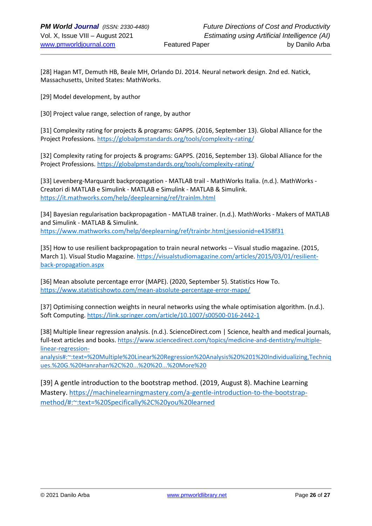[28] Hagan MT, Demuth HB, Beale MH, Orlando DJ. 2014. Neural network design. 2nd ed. Natick, Massachusetts, United States: MathWorks.

[29] Model development, by author

[30] Project value range, selection of range, by author

[31] Complexity rating for projects & programs: GAPPS. (2016, September 13). Global Alliance for the Project Professions[. https://globalpmstandards.org/tools/complexity-rating/](https://globalpmstandards.org/tools/complexity-rating/)

[32] Complexity rating for projects & programs: GAPPS. (2016, September 13). Global Alliance for the Project Professions[. https://globalpmstandards.org/tools/complexity-rating/](https://globalpmstandards.org/tools/complexity-rating/)

[33] Levenberg-Marquardt backpropagation - MATLAB trail - MathWorks Italia. (n.d.). MathWorks - Creatori di MATLAB e Simulink - MATLAB e Simulink - MATLAB & Simulink. [https://it.mathworks.com/help/deeplearning/ref/trainlm.html](about:blank)

[34] Bayesian regularisation backpropagation - MATLAB trainer. (n.d.). MathWorks - Makers of MATLAB and Simulink - MATLAB & Simulink. [https://www.mathworks.com/help/deeplearning/ref/trainbr.html;jsessionid=e4358f31](about:blank)

[35] How to use resilient backpropagation to train neural networks -- Visual studio magazine. (2015, March 1). Visual Studio Magazine. [https://visualstudiomagazine.com/articles/2015/03/01/resilient](about:blank)[back-propagation.aspx](about:blank)

[36] Mean absolute percentage error (MAPE). (2020, September 5). Statistics How To. [https://www.statisticshowto.com/mean-absolute-percentage-error-mape/](about:blank)

[37] Optimising connection weights in neural networks using the whale optimisation algorithm. (n.d.). Soft Computing[. https://link.springer.com/article/10.1007/s00500-016-2442-1](about:blank) 

[38] Multiple linear regression analysis. (n.d.). ScienceDirect.com | Science, health and medical journals, full-text articles and books[. https://www.sciencedirect.com/topics/medicine-and-dentistry/multiple](about:blank#:~:text=%20Multiple%20Linear%20Regression%20Analysis%20%201%20Individualizing,Techniques.%20G.%20Hanrahan%2C%20...%20%20...%20More%20)[linear-regression-](about:blank#:~:text=%20Multiple%20Linear%20Regression%20Analysis%20%201%20Individualizing,Techniques.%20G.%20Hanrahan%2C%20...%20%20...%20More%20)

[analysis#:~:text=%20Multiple%20Linear%20Regression%20Analysis%20%201%20Individualizing,Techniq](about:blank#:~:text=%20Multiple%20Linear%20Regression%20Analysis%20%201%20Individualizing,Techniques.%20G.%20Hanrahan%2C%20...%20%20...%20More%20) [ues.%20G.%20Hanrahan%2C%20...%20%20...%20More%20](about:blank#:~:text=%20Multiple%20Linear%20Regression%20Analysis%20%201%20Individualizing,Techniques.%20G.%20Hanrahan%2C%20...%20%20...%20More%20)

[39] A gentle introduction to the bootstrap method. (2019, August 8). Machine Learning Mastery. [https://machinelearningmastery.com/a-gentle-introduction-to-the-bootstrap](about:blank#:~:text=%20Specifically%2C%20you%20learned)[method/#:~:text=%20Specifically%2C%20you%20learned](about:blank#:~:text=%20Specifically%2C%20you%20learned)